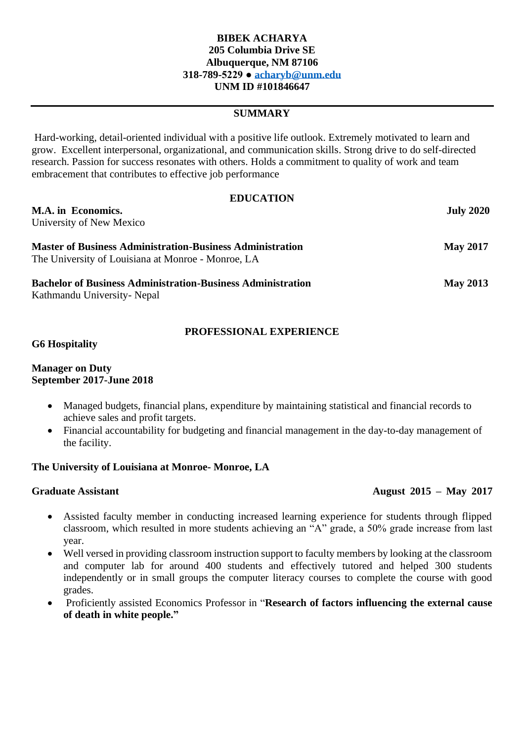## **BIBEK ACHARYA 205 Columbia Drive SE Albuquerque, NM 87106 318-789-5229 ● [acharyb@unm.edu](mailto:acharyb@unm.edu) UNM ID #101846647**

# **SUMMARY**

Hard-working, detail-oriented individual with a positive life outlook. Extremely motivated to learn and grow. Excellent interpersonal, organizational, and communication skills. Strong drive to do self-directed research. Passion for success resonates with others. Holds a commitment to quality of work and team embracement that contributes to effective job performance

| <b>EDUCATION</b>                                                   |                  |
|--------------------------------------------------------------------|------------------|
| M.A. in Economics.                                                 | <b>July 2020</b> |
| University of New Mexico                                           |                  |
| <b>Master of Business Administration-Business Administration</b>   | <b>May 2017</b>  |
| The University of Louisiana at Monroe - Monroe, LA                 |                  |
| <b>Bachelor of Business Administration-Business Administration</b> | <b>May 2013</b>  |
| Kathmandu University- Nepal                                        |                  |

## **PROFESSIONAL EXPERIENCE**

#### **G6 Hospitality**

### **Manager on Duty September 2017-June 2018**

- Managed budgets, financial plans, expenditure by maintaining statistical and financial records to achieve sales and profit targets.
- Financial accountability for budgeting and financial management in the day-to-day management of the facility.

# **The University of Louisiana at Monroe- Monroe, LA**

# **Graduate Assistant August 2015 – May 2017**

- Assisted faculty member in conducting increased learning experience for students through flipped classroom, which resulted in more students achieving an "A" grade, a 50% grade increase from last year.
- Well versed in providing classroom instruction support to faculty members by looking at the classroom and computer lab for around 400 students and effectively tutored and helped 300 students independently or in small groups the computer literacy courses to complete the course with good grades.
- Proficiently assisted Economics Professor in "**Research of factors influencing the external cause of death in white people."**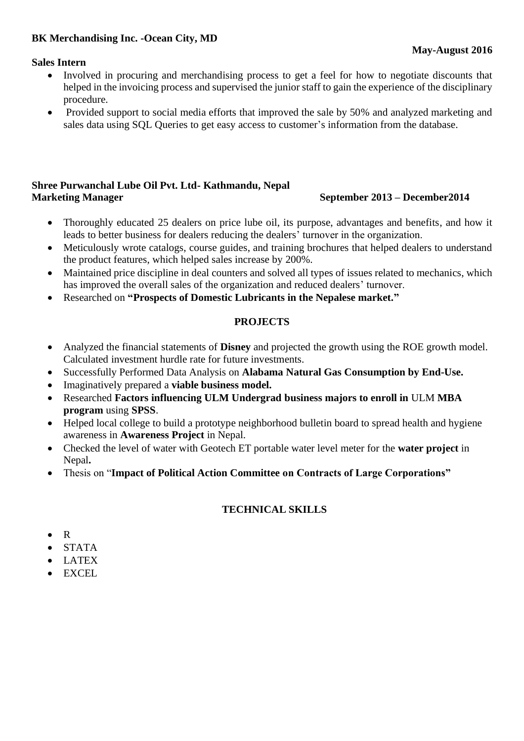# **BK Merchandising Inc. -Ocean City, MD**

### **Sales Intern**

- Involved in procuring and merchandising process to get a feel for how to negotiate discounts that helped in the invoicing process and supervised the junior staff to gain the experience of the disciplinary procedure.
- Provided support to social media efforts that improved the sale by 50% and analyzed marketing and sales data using SQL Queries to get easy access to customer's information from the database.

# **Shree Purwanchal Lube Oil Pvt. Ltd- Kathmandu, Nepal Marketing Manager September 2013 – December2014**

- Thoroughly educated 25 dealers on price lube oil, its purpose, advantages and benefits, and how it leads to better business for dealers reducing the dealers' turnover in the organization.
- Meticulously wrote catalogs, course guides, and training brochures that helped dealers to understand the product features, which helped sales increase by 200%.
- Maintained price discipline in deal counters and solved all types of issues related to mechanics, which has improved the overall sales of the organization and reduced dealers' turnover.
- Researched on **"Prospects of Domestic Lubricants in the Nepalese market."**

## **PROJECTS**

- Analyzed the financial statements of **Disney** and projected the growth using the ROE growth model. Calculated investment hurdle rate for future investments.
- Successfully Performed Data Analysis on **Alabama Natural Gas Consumption by End-Use.**
- Imaginatively prepared a **viable business model.**
- Researched **Factors influencing ULM Undergrad business majors to enroll in** ULM **MBA program** using **SPSS**.
- Helped local college to build a prototype neighborhood bulletin board to spread health and hygiene awareness in **Awareness Project** in Nepal.
- Checked the level of water with Geotech ET portable water level meter for the **water project** in Nepal**.**
- Thesis on "**Impact of Political Action Committee on Contracts of Large Corporations"**

# **TECHNICAL SKILLS**

- R
- STATA
- LATEX
- EXCEL